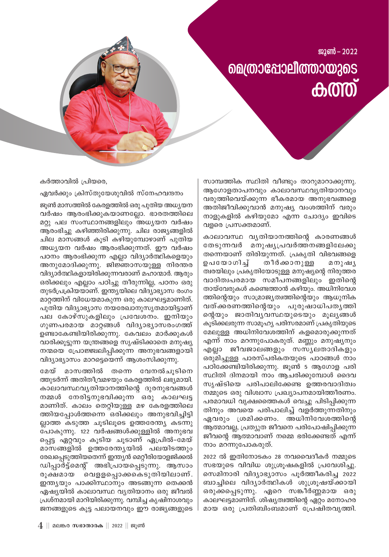ജുൺ – 2022 **മെത്രാപ്പോലീത്തായുടെ**  $\bigoplus \mathbb{O}(\overline{0})$ 

സാമ്പത്തിക സ്ഥിതി വീണ്ടും താറുമാറാക്കുന്നു. ആഗോളതാപനവും കാലാവസ്ഥവ്യതിയാനവും വരുത്തിവെയ്ക്കുന്ന ഭീകരമായ അനുഭവങ്ങളെ അതിജീവിക്കുവാൻ മനുഷ്യ വംശത്തിന് വരും നാളുകളിൽ കഴിയുമോ എന്ന ചോദ്യം ഇവിടെ വളരെ പ്രസക്തമാണ്.

കാലാവസ്ഥ വ്യതിയാനത്തിന്റെ കാരണങ്ങൾ തേടുന്നവർ മനുഷ്യപ്രവർത്തനങ്ങളിലേക്കു തന്നെയാണ് തിരിയുന്നത്. പ്രകൃതി വിഭവങ്ങളെ ഉപയോഗിച്ച് തീർക്കാനുള്ള മനുഷൃ ത്വരയിലും പ്രകൃതിയോടുള്ള മനുഷ്യന്റെ നിരുത്തര വാദിത്വപരമായ സമീപനങ്ങളിലും ഇതിന്റെ തായ്വേരുകൾ കണ്ടെത്താൻ കഴിയും. അധിനിവേശ ത്തിന്റെയും സാമ്രാജ്യത്വത്തിന്റെയും ആധുനിക വത്ക്കരണത്തിന്റെയും പുരുഷാധിപതൃത്തി ന്റെയും ജാതിവൃവസ്ഥയുടെയും മൂല്യങ്ങൾ കൂടിക്കലരുന്ന സാമൂഹ്യ പരിസരമാണ് പ്രകൃതിയുടെ മേലുള്ള അധിനിവേശത്തിന് കളമൊരുക്കുന്നത് എന്ന് നാം മറന്നുപോകരുത്. മണ്ണും മനുഷ്യനും എല്ലാ ജീവജാലങ്ങളും സസ്യലതാദികളും ഒരുമിച്ചുള്ള പാരസ്പരികതയുടെ പാഠങ്ങൾ നാം പഠിക്കേണ്ടിയിരിക്കുന്നു. ജൂൺ 5 ആഗോള പരി സ്ഥിതി ദിനമായി നാം ആചരിക്കുമ്പോൾ ദൈവ സൃഷ്ടിയെ പരിപാലിക്കേണ്ട ഉത്തരവാദിത്വം നമ്മുടെ ഒരു വിശ്വാസ പ്രഖ്യാപനമായിത്തീരണം. പരമാവധി വൃക്ഷത്തൈകൾ വെച്ചു പിടിപ്പിക്കുന്ന തിനും അവയെ പരിപാലിച്ച് വളർത്തുന്നതിനും ഏവരും ശ്രമിക്കണം. അധിനിവേശത്തിന്റെ ആത്മാവല്ല, പ്രത്യുത ജീവനെ പരിപോഷിപ്പിക്കുന്ന ജീവന്റെ ആത്മാവാണ് നമ്മെ ഭരിക്കേണ്ടത് എന്ന് നാം മറന്നുപോകരുത്.

2022 ൽ ഇതിനോടകം 28 നവവൈദീകർ നമ്മുടെ സഭയുടെ വിവിധ ശുശ്രുഷകളിൽ പ്രവേശിച്ചു. സെമിനാരി വിദ്യാഭ്യാസം പൂർത്തീകരിച്ച 2022 ബാച്ചിലെ വിദ്യാർത്ഥികൾ ശുശ്രൂഷയ്ക്കായി ഒരുക്കപ്പെടുന്നു. ഏറെ സങ്കീർണ്ണമായ ഒരു കാലഘട്ടമാണിത്. ശിഷ്യത്വത്തിന്റെ ഏറ്റം മനോഹര മായ ഒരു പ്രതിബിംബമാണ് പ്രേഷിതവൃത്തി.

കർത്താവിൽ പ്രിയരെ,

ഏവർക്കും ക്രിസ്തുയേശുവിൽ സ്നേഹവന്ദനം

ജുൺ മാസത്തിൽ കേരളത്തിൽ ഒരു പുതിയ അധ്യയന വർഷം ആരംഭിക്കുകയാണല്ലോ. ഭാരതത്തിലെ മറ്റു പല സംസ്ഥാനങ്ങളിലും അധ്യയന വർഷം ആരംഭിച്ചു കഴിഞ്ഞിരിക്കുന്നു. ചില രാജ്യങ്ങളിൽ ചില മാസങ്ങൾ കൂടി കഴിയുമ്പോഴാണ് പുതിയ അധ്യയന വർഷം ആരംഭിക്കുന്നത്. ഈ വർഷം പഠനം ആരംഭിക്കുന്ന എല്ലാ വിദ്യാർത്ഥികളെയും അനുമോദിക്കുന്നു. ജിജ്ഞാസയുള്ള നിരന്തര വിദ്യാർത്ഥികളായിരിക്കുന്നവരാണ് മഹാന്മാർ. ആരും ഒരിക്കലും എല്ലാം പഠിച്ചു തീരുന്നില്ല, പഠനം ഒരു തുടർപ്രക്രിയയാണ്. ഇന്ത്യയിലെ വിദ്യാഭ്യാസ രംഗം മാറ്റത്തിന് വിധേയമാകുന്ന ഒരു കാലഘട്ടമാണിത്. പുതിയ വിദ്യാഭ്യാസ നയരേഖാനുസൃതമായിട്ടാണ് പല കോഴ്സുകളിലും പ്രവേശനം. ഇനിയും ഗുണപരമായ മാറ്റങ്ങൾ വിദ്യാഭ്യാസരംഗത്ത് ഉണ്ടാകേണ്ടിയിരിക്കുന്നു. കേവലം മാർക്കുകൾ വാരിക്കുട്ടുന്ന യന്ത്രങ്ങളെ സൃഷ്ടിക്കാതെ മനുഷ്യ നന്മയെ പ്രോജ്ജ്വലിപ്പിക്കുന്ന അനുഭവങ്ങളായി വിദ്യാഭ്യാസം മാറട്ടെയെന്ന് ആശംസിക്കുന്നു.

മാസത്തിൽ തന്നെ വേനൽചൂടിനെ മേയ് ത്തുടർന്ന് അതിതീവ്രമഴയും കേരളത്തിൽ ലഭ്യമായി. കാലാവസ്ഥവൃതിയാനത്തിന്റെ ദുരനുഭവങ്ങൾ നമ്മൾ നേരിട്ടനുഭവിക്കുന്ന ഒരു കാലഘട്ട മാണിത്. കാലം തെറ്റിയുള്ള മഴ കേരളത്തിലെ ത്തിയപ്പോൾത്തന്നെ ഒരിക്കലും അനുഭവിച്ചിട്ടി ല്ലാത്ത കടുത്ത ചൂടിലൂടെ ഉത്തരേന്ത്യ കടന്നു പോകുന്നു. 122 വർഷങ്ങൾക്കുള്ളിൽ അനുഭവ പ്പെട്ട ഏറ്റവും കൂടിയ ചൂടാണ് ഏപ്രിൽ-മേയ് മാസങ്ങളിൽ ഉത്തരേന്തൃയിൽ പലയിടത്തും രേഖപ്പെടുത്തിയതെന്ന് ഇന്ത്യൻ മെറ്റീരിയോളജിക്കൽ ഡിപ്പാർട്ട്മെന്റ് അഭിപ്രായപ്പെടുന്നു. ആസാം രൂക്ഷമായ വെളളപ്പൊക്കകെടുതിയിലാണ്. ഇന്ത്യയും പാക്കിസ്ഥാനും അടങ്ങുന്ന തെക്കൻ ഏഷ്യയിൽ കാലാവസ്ഥ വ്യതിയാനം ഒരു ജീവൽ പ്രശ്നമായി മാറിയിരിക്കുന്നു. വമ്പിച്ച കൃഷിനാശവും ജനങ്ങളുടെ കൂട്ട പലായനവും ഈ രാജ്യങ്ങളുടെ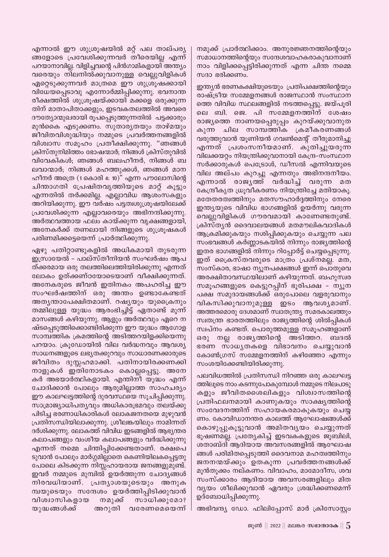എന്നാൽ ഈ ശുശ്രൂഷയിൽ മറ്റ് പല താല്പര്യ ങ്ങളോടെ പ്രവേശിക്കുന്നവർ തീരെയില്ല എന്ന് പറയാനാവില്ല. വിളിച്ചവന്റെ പിൻഗാമികളായി അന്ത്യം വരെയും നിലനിൽക്കുവാനുള്ള വെല്ലുവിളികൾ ഏറ്റെടുക്കുന്നവർ മാത്രമെ ഈ ശുശ്രൂഷക്കായി വിധേയപ്പെടാവു എന്നോർമ്മിപ്പിക്കുന്നു. ഭവനാന്ത രീക്ഷത്തിൽ ശുശ്രൂഷയ്ക്കായി മക്കളെ ഒരുക്കുന്ന തിന് മാതാപിതാക്കളും, ഇടവകതലത്തിൽ അവരെ ദൗത്യോന്മുഖരായി രൂപപ്പെടുത്തുന്നതിൽ പട്ടക്കാരും മുൻകൈ എടുക്കണം. സുതാരൃതയും താഴ്മയും ജീവിതവിശുദ്ധിയും നമ്മുടെ പ്രവർത്തനങ്ങളിൽ വിശ്വാസ സമൂഹം പ്രതീക്ഷിക്കുന്നു. "ഞങ്ങൾ ക്രിസ്തുനിമിത്തം ഭോഷന്മാർ; നിങ്ങൾ ക്രിസ്തുവിൽ വിവേകികൾ; ഞങ്ങൾ ബലഹീനർ, നിങ്ങൾ ബ ലവാന്മാർ; നിങ്ങൾ മഹത്തുക്കൾ, ഞങ്ങൾ മാന ഹീനർ അത്രെ (1കൊരി 4: 10)" എന്ന പൗലോസിന്റെ ചിന്താഗതി പ്രേഷിതവൃത്തിയുടെ മാറ്റ് കൂട്ടും എന്നതിൽ തർക്കമില്ല. എല്ലാവിധ ആശംസകളും അറിയിക്കുന്നു. ഈ വർഷം പട്ടത്വശുഢ്രൂഷയിലേക്ക് പ്രവേശിക്കുന്ന എല്ലാവരെയും അഭിനന്ദിക്കുന്നു. അർത്ഥവത്തായ ഫലം കായ്ക്കുന്ന വൃക്ഷങ്ങളായി, അനേകർക്ക് തണലായി നിങ്ങളുടെ ശുശ്രൂഷകൾ പരിണമിക്കട്ടെയെന്ന് പ്രാർത്ഥിക്കുന്നു.

ഏഴു പതിറ്റാണ്ടുകളിൽ അധികമായി തുടരുന്ന ഇസ്രായേൽ - പാല്സ്തീനിയൻ സംഘർഷം ആപ ത്ക്കരമായ ഒരു തലത്തിലെത്തിയിരിക്കുന്നു എന്നത് ലോകം ഉത്ക്കണ്ഠയോടെയാണ് വീക്ഷിക്കുന്നത്. അനേകരുടെ ജീവൻ ഇതിനകം അപഹരിച്ച ഈ സംഘർഷത്തിന് ഒരു അന്തം ഉണ്ടാകേണ്ടത് അതൃന്താപേക്ഷിതമാണ്. റഷൃയും യുക്രൈനും തമ്മിലുള്ള യുദ്ധം ആരംഭിച്ചിട്ട് ഏതാണ്ട് മൂന്ന് മാസങ്ങൾ കഴിയുന്നു. ആളും അർത്ഥവും ഏറെ ന ഷ്ടപ്പെടുത്തിക്കൊണ്ടിരിക്കുന്ന ഈ യുദ്ധം ആഗോള സാമ്പത്തിക ക്രമത്തിന്റെ അടിത്തറയിളക്കിയെന്നു പറയാം. ക്രൂഡോയിൽ വില വർദ്ധനവും ആവശ്യ സാധനങ്ങളുടെ ലഭ്യതക്കുറവും സാധാരണക്കാരുടെ ജീവിതം ദുസ്സഹമാക്കി. പതിനായിരക്കണക്കി നാളുകൾ ഇതിനോടകം കൊല്ലപ്പെട്ടു. അനേ കർ അഭയാർത്ഥികളായി. എന്തിനീ യൂദ്ധം എന്ന് ചോദിക്കാൻ പോലും ആരുമില്ലാത്ത സാഹചര്യം ഈ കാലഘട്ടത്തിന്റെ ദുരവസ്ഥയെ സൂചിപ്പിക്കുന്നു. സാമ്രാജ്യാധിപതൃവും അധികാരഭ്രമവും തലയ്ക്കു പിടിച്ച ഭരണാധികാരികൾ ലോകജനതയെ മുഴുവൻ പ്രതിസന്ധിയിലാക്കുന്നു. ശ്രീലങ്കയിലും നാമിന്നത് ദർശിക്കുന്നു. ലോകത്ത് വിവിധ ഇടങ്ങളിൽ ആഭ്യന്തര കലാപങ്ങളും വംശീയ കലാപങ്ങളും വർദ്ധിക്കുന്നു എന്നത് നമ്മെ ചിന്തിപ്പിക്കേണ്ടതാണ്. രക്ഷപെ ടുവാൻ പോലും മാർഗ്ഗമില്ലാതെ കെണിയിലകപ്പെട്ടതു പോലെ കിടക്കുന്ന നിസ്സഹായരായ ജനങ്ങളുമുണ്ട്. ഇവർ നമ്മുടെ മുമ്പിൽ ഉയർത്തുന്ന ചോദ്യങ്ങൾ നിരവധിയാണ്. പ്രത്യാശയുടെയും അനുക മ്പയുടെയും സന്ദേശം ഉയർത്തിപ്പിടിക്കുവാൻ നമുക്ക് വിശ്വാസികളായ സാധിക്കുമോ? അറുതി വരേണമെയെന്ന് യുദ്ധങ്ങൾക്ക്

നമുക്ക് പ്രാർത്ഥിക്കാം. അനുരജ്ഞനത്തിന്റെയും സമാധാനത്തിന്റെയും സന്ദേശവാഹകരാകുവാനാണ് നാം വിളിക്കപ്പെട്ടിരിക്കുന്നത് എന്ന ചിന്ത നമ്മെ സദാ ഭരിക്കണം.

ഇന്ത്യൻ ഭരണകക്ഷിയുടെയും പ്രതിപക്ഷത്തിന്റെയും രാഷ്ട്രീയ സമ്മേളനങ്ങൾ രാജസ്ഥാൻ സംസ്ഥാന ത്തെ വിവിധ സ്ഥലങ്ങളിൽ നടത്തപ്പെട്ടു. ജയ്പൂരി ലെ ബി. ജെ. പി സമ്മേളനത്തിന് ശേഷം രാജ്യത്തെ നാണയപ്പെരുപ്പം കുറയ്ക്കുവാനുത കുന്ന ചില സാമ്പത്തിക ക്രമീകരണങ്ങൾ വരുത്തുവാൻ യൂണിയൻ ഗവൺമെന്റ് തീരുമാനിച്ചു എന്നത് പ്രശംസനീയമാണ്. കുതിച്ചുയരുന്ന വിലക്കയറ്റം നിയന്ത്രിക്കുവാനായി കേന്ദ്ര-സംസ്ഥാന സർക്കാരുകൾ പെട്രോൾ, ഡീസൽ എന്നിവയുടെ വില അല്പം കുറച്ചു എന്നതും അഭിനന്ദനീയം. എന്നാൽ രാജൃത്ത് വർദ്ധിച്ച് വരുന്ന മത കേന്ദ്രീകൃത ധ്രുവീകരണം നിയന്ത്രിച്ചേ മതിയാകൂ. മതേതരത്വത്തിനും മതസൗഹാർദ്ദത്തിനും നേരെ ഇന്ത്യയുടെ വിവിധ ഭാഗങ്ങളിൽ ഉയർന്നു വരുന്ന വെല്ലുവിളികൾ ഗൗരവമായി കാണേണ്ടതുണ്ട്. ക്രിസ്തൃൻ ദൈവാലയങ്ങൾ മതമൗലികവാദികൾ ആക്രമിക്കുകയും നശിപ്പിക്കുകയും ചെയ്യുന്ന പല സംഭവങ്ങൾ കർണ്ണാടകയിൽ നിന്നും രാജ്യത്തിന്റെ ഇതര ഭാഗങ്ങളിൽ നിന്നും റിപ്പോർട്ട് ചെയ്യപ്പെടുന്നു. ഇത് ക്രൈസ്തവരുടെ മാത്രം പ്രശ്നമല്ല. മത, സംസ്കാര, ഭാഷാ ന്യൂനപക്ഷങ്ങൾ ഇന്ന് പൊതുവെ അരക്ഷിതാവസ്ഥയിലാണ് കഴിയുന്നത്. ബഹുസ്വര സമൂഹങ്ങളുടെ കെട്ടുറപ്പിന് ഭൂരിപക്ഷ – ന്യൂന പക്ഷ സമുദായങ്ങൾക്ക് ഒരുപോലെ വളരുവാനും വികസിക്കുവാനുമുള്ള ഇടം ആവശ്യമാണ്. അത്തരമൊരു ദേശമാണ് സ്വാതന്ത്ര്യ സമരകാലത്തും സ്വതന്ത്ര ഭാരതത്തിലും രാജ്യത്തിന്റെ ശിൽപ്പികൾ സ്വപ്നം കണ്ടത്. പൊരുത്തമുള്ള സമൂഹങ്ങളാണ് ഒരു നല്ല രാജ്യത്തിന്റെ അടിത്തറ. ബദൽ ഭരണ സാധ്യതകളെ വിഭാവനം ചെയ്യുവാൻ കോൺഗ്രസ് സമ്മേളനത്തിന് കഴിഞ്ഞോ എന്നും സംശയിക്കേണ്ടിയിരിക്കുന്നു.

പലവിധത്തിൽ പ്രതിസന്ധി നിറഞ്ഞ ഒരു കാലഘട്ട ത്തിലൂടെ നാം കടന്നുപോകുമ്പോൾ നമ്മുടെ നിലപാടു കളും ജീവിതശൈലികളും വിശ്വാസത്തിന്റെ പ്രതിഫലനമായി കാണുകയും സാക്ഷ്യത്തിന്റെ സംവേദനത്തിന് സഹായകരമാകുകയും ചെയ്യ ണം. കോവിഡാനന്തര കാലത്ത് ആഘോഷങ്ങൾക്ക് കൊഴുപ്പുകൂട്ടുവാൻ അമിതവൃയം ചെയ്യുന്നത് ഭൂഷണമല്ല. പ്രത്യേകിച്ച് ഇടവകകളുടെ ജൂബിലി, ശതാബ്ദി ആദിയായ അവസരങ്ങളിൽ ആഘോഷ ങ്ങൾ പരിമിതപ്പെടുത്തി ദൈവനാമ മഹത്വത്തിനും ജനനന്മയ്ക്കും ഉതകുന്ന പ്രവർത്തനങ്ങൾക്ക് മൂൻതൂക്കം നല്കണം. വിവാഹം, മാമോദീസ, ശവ സംസ്ക്കാരം ആദിയായ അവസരങ്ങളിലും മിത വ്യയം ശീലിക്കുവാൻ ഏവരും ശ്രദ്ധിക്കണമെന്ന് ഉദ്ബോധിപ്പിക്കുന്നു.

അഭിവന്ദ്യ ഡോ. ഫിലിപ്പോസ് മാർ ക്രിസോസ്റ്റം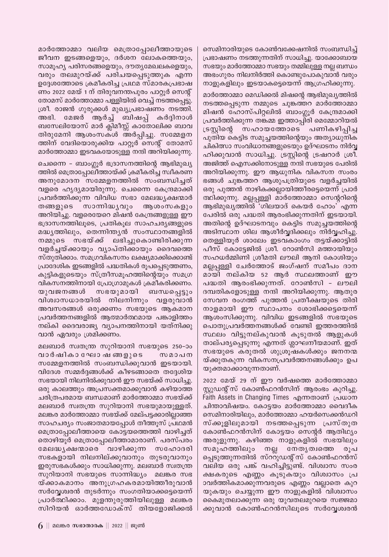സെമിനാരിയുടെ കോൺവക്കേഷനിൽ സംബന്ധിച്ച് പ്രഭാഷണം നടത്തുന്നതിന് സാധിച്ചു. യാക്കോബായ സഭയും മാർത്തോമ്മാ സഭയും തമ്മിലുള്ള നല്ല ബന്ധം അഭംഗുരം നിലനിർത്തി കൊണ്ടുപോകുവാൻ വരും നാളുകളിലും ഇടയാകട്ടെയെന്ന് ആഗ്രഹിക്കുന്നു.

മാർത്തോമ്മാ മെഡിക്കൽ മിഷന്റെ ആഭിമുഖ്യത്തിൽ നടത്തപ്പെടുന്ന നമ്മുടെ ചുങ്കത്തറ മാർത്തോമ്മാ മിഷൻ ഹോസ്പിറ്റലിൽ ബാംഗ്ലൂർ കേന്ദ്രമാക്കി പ്രവർത്തിക്കുന്ന തങ്കമ്മ ഇത്താപ്പിരി മെമ്മോറിയൽ സഹായത്തോടെ പണികഴിപിച്ച ട്രസിന്റെ പുതിയ കെട്ടിട സമുച്ചയത്തിന്റെയും അത്യാധുനിക ചികിത്സാ സംവിധാനങ്ങളുടെയും ഉദ്ഘാടനം നിർവ്വ ഹിക്കുവാൻ സാധിച്ചു. ട്രസ്റ്റിന്റെ ട്രഷറാർ ശ്രീ. അജിത്ത് ഐസക്കിനോടുള്ള നന്ദി സഭയുടെ പേരിൽ അറിയിക്കുന്നു. ഈ ആധുനിക വികസന സംരം ഭങ്ങൾ ചുങ്കത്തറ ആശുപത്രിയുടെ വളർച്ചയിൽ ഒരു പുത്തൻ നാഴികക്കല്ലായിത്തീരട്ടെയെന്ന് പ്രാർ ത്ഥിക്കുന്നു. മല്ലപ്പള്ളി മാർത്തോമ്മാ സെന്ററിന്റെ ആഭിമുഖ്യത്തിൽ 'ഗിലയാദ് കെയർ ഹോം' എന്ന പേരിൽ ഒരു പദ്ധതി ആരംഭിക്കുന്നതിന് ഇടയായി. അതിന്റെ ഉദ്ഘാടനവും കെട്ടിട സമുച്ചയത്തിന്റെ അടിസ്ഥാന ശില ആശീർവ്വദിക്കലും നിർവ്വഹിച്ചു. തെള്ളിയൂർ ശാലേം ഇടവകാംഗം തട്ടയ്ക്കാട്ടിൽ പീസ് കോട്ടേജിൽ ശ്രീ. റോൺസി മത്തായിയും സഹധർമ്മിണി ശ്രീമതി ലൗലി ആനി കോശിയും മല്ലപ്പള്ളി ചേർത്തോട് ജംഗ്ഷന് സമീപം ദാന മായി നല്കിയ 52 ആർ സ്ഥലത്താണ് ഈ പദ്ധതി ആരംഭിക്കുന്നത്. റോൺസി - ലൗലി ദമ്പതികളോടുള്ള നന്ദി അറിയിക്കുന്നു. ആതുര സേവന രംഗത്ത് പുത്തൻ പ്രതീക്ഷയുടെ തിരി നാളമായി ഈ സ്ഥാപനം ശോഭിക്കട്ടെയെന്ന് ആശംസിക്കുന്നു. വിവിധ ഇടങ്ങളിൽ സഭയുടെ പൊതുപ്രവർത്തനങ്ങൾക്ക് വേണ്ടി ഇത്തരത്തിൽ സ്ഥലം വിട്ടുനല്കുവാൻ കൂടുതൽ ആളുകൾ താല്പര്യപ്പെടുന്നു എന്നത് ശ്ലാഘനീയമാണ്. ഇത് സഭയുടെ കരുതൽ ശുശ്രൂഷകൾക്കും ജനനന്മ യ്ക്കുതകുന്ന വികസനപ്രവർത്തനങ്ങൾക്കും ഉപ യുക്തമാക്കാവുന്നതാണ്.

2022 മേയ് 29 ന് ഈ വർഷത്തെ മാർത്തോമ്മാ സ്റ്റുഡന്റ് സ് കോൺഫറൻസിന് ആരംഭം കുറിച്ചു. Faith Assets in Changing Times എന്നതാണ് പ്രധാന ചിന്താവിഷയം. കോട്ടയം മാർത്തോമ്മാ വൈദീക സെമിനാരിയിലും, മാർത്തോമ്മാ ഹയർസെക്കൻഡറി സ്ക്കൂളിലുമായി നടത്തപ്പെടുന്ന പ്രസ്തുത കോൺഫറൻസിന് കോട്ടയം സെന്റർ ആതിഥ്യം അരുളുന്നു. കഴിഞ്ഞ നാളുകളിൽ സഭയിലും സമൂഹത്തിലും നല്ല നേതൃത്വത്തെ രൂപ പ്പെടുത്തുന്നതിൽ സ്റ്റുഡന്റ്സ് കോൺഫറൻസ് വലിയ ഒരു പങ്ക് വഹിച്ചിട്ടുണ്ട്. വിശ്വാസ സംര ക്ഷകരുടെ എണ്ണം കൂടുകയും വിശ്വാസം പ്ര ാവർത്തികമാക്കുന്നവരുടെ എണ്ണം വല്ലാതെ കുറ യുകയും ചെയ്യുന്ന ഈ നാളുകളിൽ വിശ്വാസം കൈമുതലാക്കുന്ന ഒരു യുവതലമുറയെ സജ്ജമാ ക്കുവാൻ കോൺഫറൻസിലൂടെ സർവ്വേശ്വരൻ

മാർത്തോമ്മാ വലിയ മെത്രാപ്പോലീത്തായുടെ ജീവന ഇടങ്ങളെയും, ദർശന ലോകത്തെയും, സാമൂഹ്യ പരിസരങ്ങളെയും, ദൗത്യമേഖലകളെയും, വരും തലമുറയ്ക്ക് പരിചയപ്പെടുത്തുക എന്ന ഉദ്ദേശത്തോടെ ക്രമീകരിച്ച പ്രഥമ സ്മാരകപ്രഭാഷ ണം 2022 മേയ് 1 ന് തിരുവനന്തപുരം പാറ്റൂർ സെന്റ് തോമസ് മാർത്തോമ്മാ പള്ളിയിൽ വെച്ച് നടത്തപ്പെട്ടു. ശ്രീ. രാജൻ ഗുരുക്കൾ മുഖ്യപ്രഭാഷണം നടത്തി. അഭി. മേജർ ആർച്ച് ബിഷപ്പ് കർദ്ദിനാൾ ബസേലിയോസ് മാർ ക്ലിമീസ്സ് കാതോലിക്ക ബാവ തിരുമേനി ആശംസകൾ അർപ്പിച്ചു. സമ്മേളന ത്തിന് വേദിയൊരുക്കിയ പാറ്റൂർ സെന്റ് തോമസ് മാർത്തോമ്മാ ഇടവകയോടുള്ള നന്ദി അറിയിക്കുന്നു.

ചെന്നൈ - ബാംഗ്ലൂർ ഭദ്രാസനത്തിന്റെ ആഭിമുഖ്യ ത്തിൽ മെത്രാപ്പോലീത്തായ്ക്ക് ക്രമീകരിച്ച സ്വീകരണ അനുമോദന സമ്മേളനത്തിൽ സംബന്ധിച്ചത് വളരെ ഹൃദ്യമായിരുന്നു. ചെന്നൈ കേന്ദ്രമാക്കി പ്രവർത്തിക്കുന്ന വിവിധ സഭാ മേലദ്ധ്യക്ഷന്മാർ സാന്നിദ്ധ്യവും ആശംസകളും തങ്ങളുടെ അറിയിച്ചു. വളരെയേറെ മിഷൻ കേന്ദ്രങ്ങളുള്ള ഈ ഭദ്രാസനത്തിലൂടെ, പ്രതികൂല സാഹചര്യങ്ങളുടെ മദ്ധ്യത്തിലും, തെന്നിന്ത്യൻ സംസ്ഥാനങ്ങളിൽ നമ്മുടെ സഭയ്ക്ക് ലഭിച്ചുകൊണ്ടിരിക്കുന്ന വളർച്ചയ്ക്കായും വ്യാപ്തിക്കായും ദൈവത്തെ സ്തുതിക്കാം. സമഗ്രവികസനം ലക്ഷ്യമാക്കിക്കൊണ്ട് പ്രാദേശിക ഇടങ്ങളിൽ പദ്ധതികൾ രൂപപ്പെടുത്തണം, കുട്ടികളുടെയും സ്ത്രീസമൂഹത്തിന്റെയും സമഗ്ര വികസനത്തിനായി പ്രോഗ്രാമുകൾ ക്രമീകരിക്കണം. സഭയുമായി ബന്ധപ്പെട്ടും യുവജനങ്ങൾ വിശ്വാസധാരയിൽ നിലനിന്നും വളരുവാൻ അവസരങ്ങൾ ഒരുക്കണം സഭയുടെ ആകമാന പ്രവർത്തനങ്ങളിൽ ആത്മാർത്ഥമായ പങ്കാളിത്തം നല്കി ദൈവരാജ്യ വ്യാപനത്തിനായി യത്നിക്കു വാൻ ഏവരും ശ്രമിക്കണം.

മലബാർ സ്വതന്ത്ര സുറിയാനി സഭയുടെ 250-ാം വാർഷികാ ഘോഷ ങ്ങളുടെ സമാപന സമ്മേളനത്തിൽ സംബന്ധിക്കുവാൻ ഇടയായി. വിദേശ സമ്മർദ്ദങ്ങൾക്ക് കീഴടങ്ങാതെ തദ്ദേശിയ സഭയായി നിലനിൽക്കുവാൻ ഈ സഭയ്ക്ക് സാധിച്ചു. ഒരു കാലത്തും അപ്രസക്തമാക്കുവാൻ കഴിയാത്ത ചരിത്രപരമായ ബന്ധമാണ് മാർത്തോമ്മാ സഭയ്ക്ക് മലബാർ സ്വതന്ത്ര സുറിയാനി സഭയുമായുള്ളത്. മലങ്കര മാർത്തോമ്മാ സഭയ്ക്ക് മേല്പട്ടക്കാരില്ലാഞ്ഞ സാഹചര്യം സംജാതമായപ്പോൾ തീത്തൂസ് പ്രഥമൻ മെത്രാപ്പോലീത്തായെ കോട്ടയത്തെത്തി വാഴിച്ചത് തൊഴിയൂർ മെത്രാപ്പോലീത്താമാരാണ്. പരസ്പരം മേലദ്ധൃക്ഷന്മാരെ വാഴിക്കുന്ന സഹോദരി സഭകളായി നിലനില്ക്കുവാനും തുടരുവാനും ഇരുസഭകൾക്കും സാധിക്കുന്നു. മലബാർ സ്വതന്ത്ര സുറിയാനി സഭയുടെ സാന്നിദ്ധ്യം മലങ്കര സഭ യ്ക്കാകമാനം അനുഗ്രഹകരമായിത്തീരുവാൻ സർവ്വേശ്വരൻ തുടർന്നും സംഗതിയാക്കട്ടെയെന്ന് പ്രാർത്ഥിക്കാം. മുളന്തുരുത്തിയിലുള്ള മലങ്കര സിറിയൻ ഓർത്തഡോക്സ് തിയളോജിക്കൽ